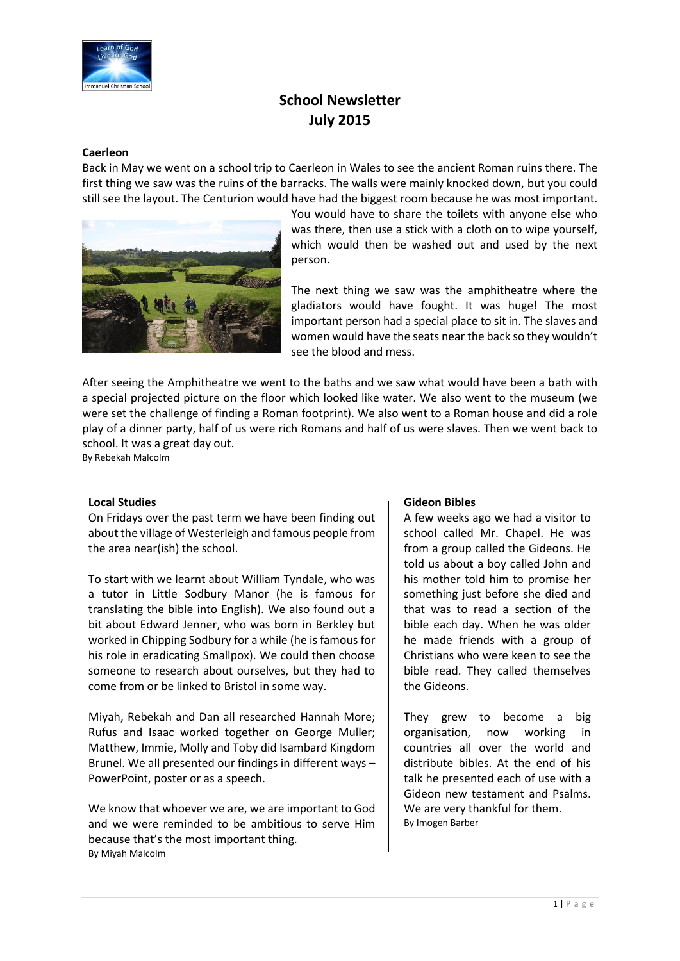

# **School Newsletter July 2015**

#### **Caerleon**

Back in May we went on a school trip to Caerleon in Wales to see the ancient Roman ruins there. The first thing we saw was the ruins of the barracks. The walls were mainly knocked down, but you could still see the layout. The Centurion would have had the biggest room because he was most important.



You would have to share the toilets with anyone else who was there, then use a stick with a cloth on to wipe yourself, which would then be washed out and used by the next person.

The next thing we saw was the amphitheatre where the gladiators would have fought. It was huge! The most important person had a special place to sit in. The slaves and women would have the seats near the back so they wouldn't see the blood and mess.

After seeing the Amphitheatre we went to the baths and we saw what would have been a bath with a special projected picture on the floor which looked like water. We also went to the museum (we were set the challenge of finding a Roman footprint). We also went to a Roman house and did a role play of a dinner party, half of us were rich Romans and half of us were slaves. Then we went back to school. It was a great day out.

By Rebekah Malcolm

#### **Local Studies**

On Fridays over the past term we have been finding out about the village of Westerleigh and famous people from the area near(ish) the school.

To start with we learnt about William Tyndale, who was a tutor in Little Sodbury Manor (he is famous for translating the bible into English). We also found out a bit about Edward Jenner, who was born in Berkley but worked in Chipping Sodbury for a while (he is famous for his role in eradicating Smallpox). We could then choose someone to research about ourselves, but they had to come from or be linked to Bristol in some way.

Miyah, Rebekah and Dan all researched Hannah More; Rufus and Isaac worked together on George Muller; Matthew, Immie, Molly and Toby did Isambard Kingdom Brunel. We all presented our findings in different ways – PowerPoint, poster or as a speech.

We know that whoever we are, we are important to God and we were reminded to be ambitious to serve Him because that's the most important thing. By Miyah Malcolm

#### **Gideon Bibles**

A few weeks ago we had a visitor to school called Mr. Chapel. He was from a group called the Gideons. He told us about a boy called John and his mother told him to promise her something just before she died and that was to read a section of the bible each day. When he was older he made friends with a group of Christians who were keen to see the bible read. They called themselves the Gideons.

They grew to become a big organisation, now working in countries all over the world and distribute bibles. At the end of his talk he presented each of use with a Gideon new testament and Psalms. We are very thankful for them. By Imogen Barber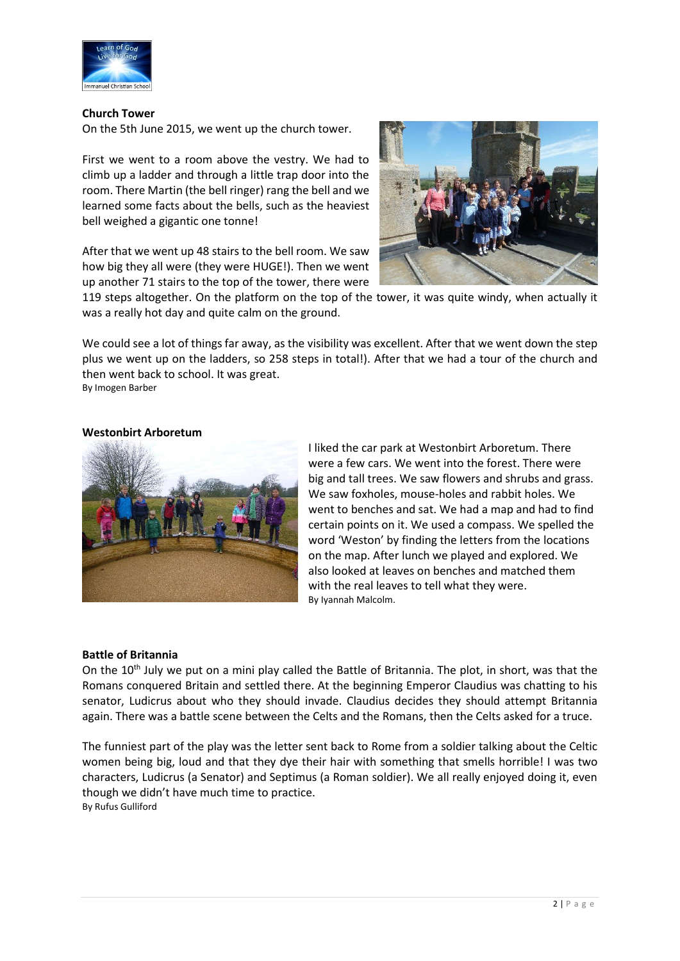

#### **Church Tower**

On the 5th June 2015, we went up the church tower.

First we went to a room above the vestry. We had to climb up a ladder and through a little trap door into the room. There Martin (the bell ringer) rang the bell and we learned some facts about the bells, such as the heaviest bell weighed a gigantic one tonne!

After that we went up 48 stairs to the bell room. We saw how big they all were (they were HUGE!). Then we went up another 71 stairs to the top of the tower, there were



119 steps altogether. On the platform on the top of the tower, it was quite windy, when actually it was a really hot day and quite calm on the ground.

We could see a lot of things far away, as the visibility was excellent. After that we went down the step plus we went up on the ladders, so 258 steps in total!). After that we had a tour of the church and then went back to school. It was great.

By Imogen Barber

#### **Westonbirt Arboretum**



I liked the car park at Westonbirt Arboretum. There were a few cars. We went into the forest. There were big and tall trees. We saw flowers and shrubs and grass. We saw foxholes, mouse-holes and rabbit holes. We went to benches and sat. We had a map and had to find certain points on it. We used a compass. We spelled the word 'Weston' by finding the letters from the locations on the map. After lunch we played and explored. We also looked at leaves on benches and matched them with the real leaves to tell what they were. By Iyannah Malcolm.

# **Battle of Britannia**

On the  $10<sup>th</sup>$  July we put on a mini play called the Battle of Britannia. The plot, in short, was that the Romans conquered Britain and settled there. At the beginning Emperor Claudius was chatting to his senator, Ludicrus about who they should invade. Claudius decides they should attempt Britannia again. There was a battle scene between the Celts and the Romans, then the Celts asked for a truce.

The funniest part of the play was the letter sent back to Rome from a soldier talking about the Celtic women being big, loud and that they dye their hair with something that smells horrible! I was two characters, Ludicrus (a Senator) and Septimus (a Roman soldier). We all really enjoyed doing it, even though we didn't have much time to practice. By Rufus Gulliford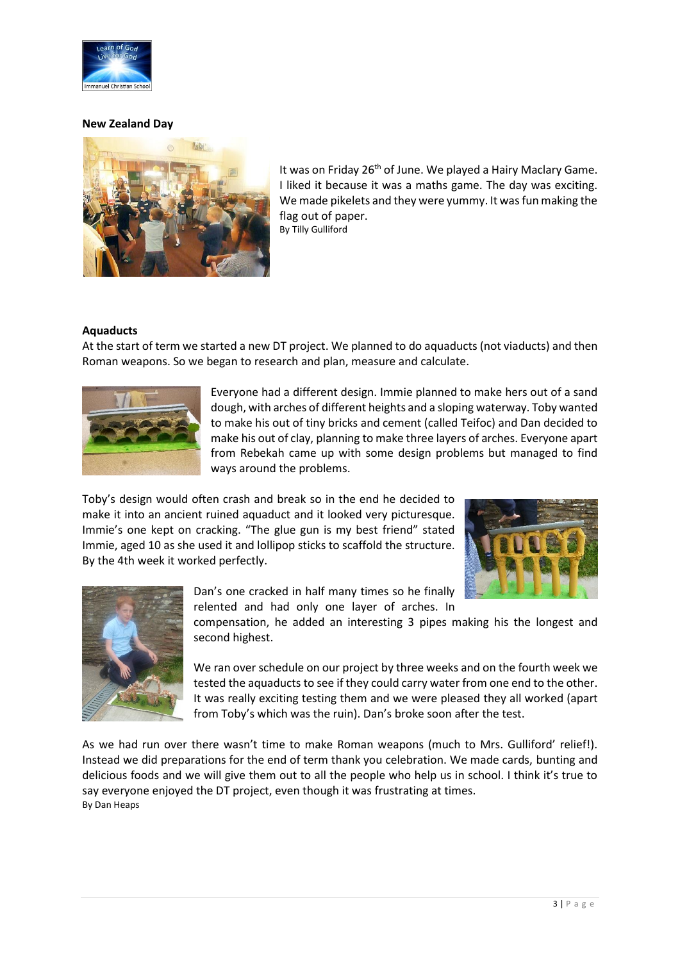

#### **New Zealand Day**



It was on Friday 26<sup>th</sup> of June. We played a Hairy Maclary Game. I liked it because it was a maths game. The day was exciting. We made pikelets and they were yummy. It was fun making the flag out of paper. By Tilly Gulliford

## **Aquaducts**

At the start of term we started a new DT project. We planned to do aquaducts (not viaducts) and then Roman weapons. So we began to research and plan, measure and calculate.



Everyone had a different design. Immie planned to make hers out of a sand dough, with arches of different heights and a sloping waterway. Toby wanted to make his out of tiny bricks and cement (called Teifoc) and Dan decided to make his out of clay, planning to make three layers of arches. Everyone apart from Rebekah came up with some design problems but managed to find ways around the problems.

Toby's design would often crash and break so in the end he decided to make it into an ancient ruined aquaduct and it looked very picturesque. Immie's one kept on cracking. "The glue gun is my best friend" stated Immie, aged 10 as she used it and lollipop sticks to scaffold the structure. By the 4th week it worked perfectly.





Dan's one cracked in half many times so he finally relented and had only one layer of arches. In

compensation, he added an interesting 3 pipes making his the longest and second highest.

We ran over schedule on our project by three weeks and on the fourth week we tested the aquaducts to see if they could carry water from one end to the other. It was really exciting testing them and we were pleased they all worked (apart from Toby's which was the ruin). Dan's broke soon after the test.

As we had run over there wasn't time to make Roman weapons (much to Mrs. Gulliford' relief!). Instead we did preparations for the end of term thank you celebration. We made cards, bunting and delicious foods and we will give them out to all the people who help us in school. I think it's true to say everyone enjoyed the DT project, even though it was frustrating at times. By Dan Heaps